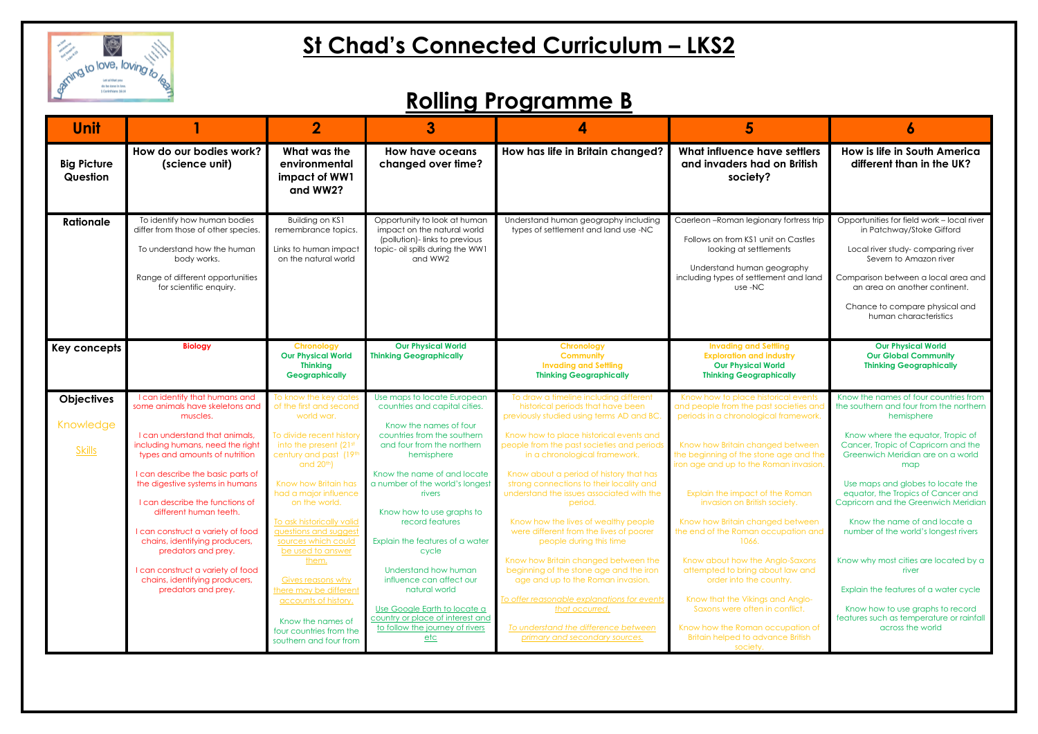

| Unit                           |                                                                                                                                                                                                          | $\mathbf 2$                                                                                                                                 | 3                                                                                                                                                           | 5                                                                                                                                                                                                                                                         |                                                                                                                                                                                            |                                                                                                                                                                                                                                                                           |
|--------------------------------|----------------------------------------------------------------------------------------------------------------------------------------------------------------------------------------------------------|---------------------------------------------------------------------------------------------------------------------------------------------|-------------------------------------------------------------------------------------------------------------------------------------------------------------|-----------------------------------------------------------------------------------------------------------------------------------------------------------------------------------------------------------------------------------------------------------|--------------------------------------------------------------------------------------------------------------------------------------------------------------------------------------------|---------------------------------------------------------------------------------------------------------------------------------------------------------------------------------------------------------------------------------------------------------------------------|
| <b>Big Picture</b><br>Question | How do our bodies work?<br>(science unit)                                                                                                                                                                | What was the<br>environmental<br>impact of WW1<br>and WW2?                                                                                  | <b>How have oceans</b><br>changed over time?                                                                                                                | How has life in Britain changed?                                                                                                                                                                                                                          | What influence have settlers<br>and invaders had on British<br>society?                                                                                                                    | How is life in South America<br>different than in the UK?                                                                                                                                                                                                                 |
| <b>Rationale</b>               | To identify how human bodies<br>differ from those of other species.<br>To understand how the human<br>body works.<br>Range of different opportunities<br>for scientific enquiry.                         | Building on KS1<br>remembrance topics.<br>Links to human impact<br>on the natural world                                                     | Opportunity to look at human<br>impact on the natural world<br>(pollution)-links to previous<br>topic- oil spills during the WW1<br>and WW2                 | Understand human geography including<br>types of settlement and land use -NC                                                                                                                                                                              | Caerleon-Roman legionary fortress trip<br>Follows on from KS1 unit on Castles<br>looking at settlements<br>Understand human geography<br>including types of settlement and land<br>use -NC | Opportunities for field work - local river<br>in Patchway/Stoke Gifford<br>Local river study-comparing river<br>Severn to Amazon river<br>Comparison between a local area and<br>an area on another continent.<br>Chance to compare physical and<br>human characteristics |
| Key concepts                   | <b>Biology</b>                                                                                                                                                                                           | Chronology<br><b>Our Physical World</b><br><b>Thinking</b><br><b>Geographically</b>                                                         | <b>Our Physical World</b><br><b>Thinking Geographically</b>                                                                                                 | <b>Invading and Settling</b><br><b>Chronology</b><br><b>Exploration and industry</b><br><b>Community</b><br><b>Invading and Settling</b><br><b>Our Physical World</b><br><b>Thinking Geographically</b><br><b>Thinking Geographically</b>                 |                                                                                                                                                                                            | <b>Our Physical World</b><br><b>Our Global Community</b><br><b>Thinking Geographically</b>                                                                                                                                                                                |
| <b>Objectives</b><br>Knowledge | I can identify that humans and<br>some animals have skeletons and<br>muscles.                                                                                                                            | To know the key dates<br>of the first and second<br>world war.                                                                              | Use maps to locate European<br>countries and capital cities.<br>Know the names of four                                                                      | To draw a timeline including different<br>historical periods that have been<br>previously studied using terms AD and BC.                                                                                                                                  | Know how to place historical events<br>and people from the past societies an<br>periods in a chronological framework.                                                                      | Know the names of four countries from<br>the southern and four from the northern<br>hemisphere                                                                                                                                                                            |
| <b>Skills</b>                  | I can understand that animals,<br>including humans, need the right<br>types and amounts of nutrition                                                                                                     | To divide recent history<br>into the present (21st<br>century and past (19th<br>and $20th$                                                  | countries from the southern<br>and four from the northern<br>hemisphere                                                                                     | Know how to place historical events and<br>people from the past societies and periods<br>in a chronological framework.                                                                                                                                    | Know how Britain changed between<br>the beginning of the stone age and the<br>iron age and up to the Roman invasion                                                                        | Know where the equator, Tropic of<br>Cancer, Tropic of Capricorn and the<br>Greenwich Meridian are on a world<br>map                                                                                                                                                      |
|                                | I can describe the basic parts of<br>the digestive systems in humans<br>I can describe the functions of<br>different human teeth.<br>I can construct a variety of food<br>chains, identifying producers, | Know how Britain has<br>had a major influence<br>on the world.<br>To ask historically valid<br>guestions and suggest<br>sources which could | Know the name of and locate<br>a number of the world's longest<br>rivers<br>Know how to use graphs to<br>record features<br>Explain the features of a water | Know about a period of history that has<br>strong connections to their locality and<br>understand the issues associated with the<br>period.<br>Know how the lives of wealthy people<br>were different from the lives of poorer<br>people during this time | Explain the impact of the Roman<br>invasion on British society.<br>Know how Britain changed between<br>the end of the Roman occupation and<br>1066.                                        | Use maps and globes to locate the<br>equator, the Tropics of Cancer and<br>Capricorn and the Greenwich Meridian<br>Know the name of and locate a<br>number of the world's longest rivers                                                                                  |
|                                | predators and prey.<br>I can construct a variety of food<br>chains, identifying producers,<br>predators and prey.                                                                                        | be used to answer<br>them.<br><b>Gives reasons why</b><br>here may be different<br>accounts of history.<br>Know the names of                | cycle<br>Understand how human<br>influence can affect our<br>natural world<br>Use Google Earth to locate a<br>country or place of interest and              | Know how Britain changed between the<br>beginning of the stone age and the iron<br>age and up to the Roman invasion.<br>o offer reasonable explanations for events<br>that occurred.                                                                      | Know about how the Anglo-Saxons<br>attempted to bring about law and<br>order into the country.<br>Know that the Vikings and Anglo-<br>Saxons were often in conflict.                       | Know why most cities are located by a<br>river<br>Explain the features of a water cycle<br>Know how to use graphs to record<br>features such as temperature or rainfall                                                                                                   |
|                                |                                                                                                                                                                                                          | four countries from the<br>southern and four from                                                                                           | to follow the journey of rivers<br><u>etc</u>                                                                                                               | To understand the difference between<br>primary and secondary sources.                                                                                                                                                                                    | Know how the Roman occupation of<br><b>Britain helped to advance British</b><br>society.                                                                                                   | across the world                                                                                                                                                                                                                                                          |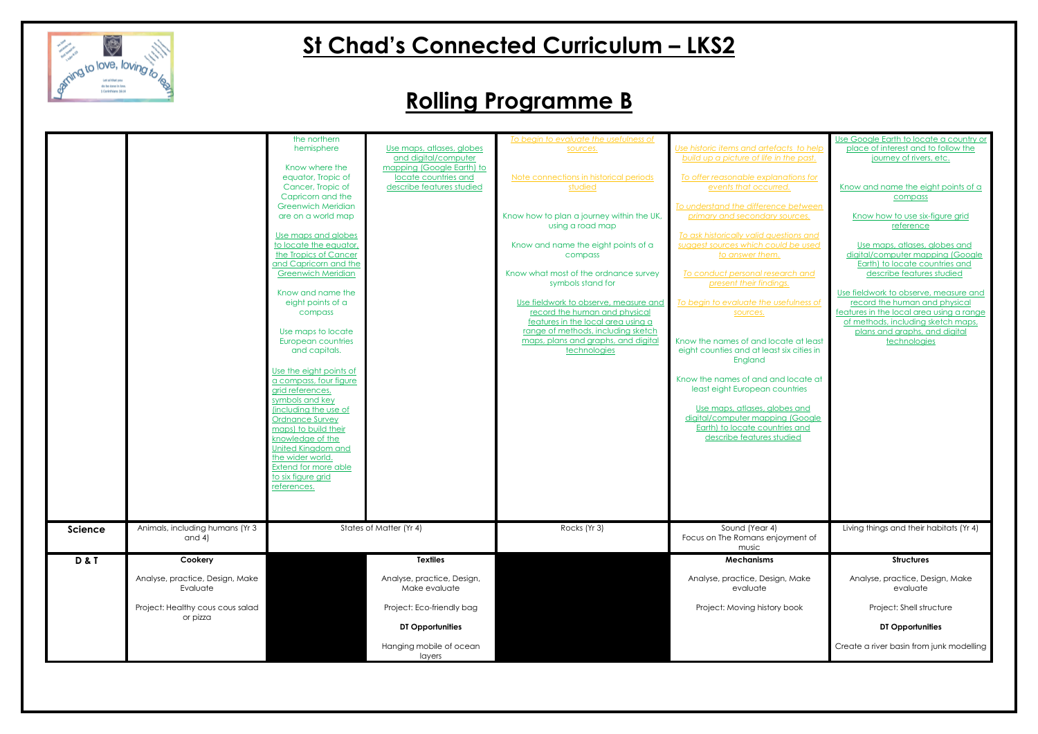

|                |                                              | the northern                                       |                                                   | To begin to evaluate the usefulness of                                    |                                                               | Use Google Earth to locate a country or                     |
|----------------|----------------------------------------------|----------------------------------------------------|---------------------------------------------------|---------------------------------------------------------------------------|---------------------------------------------------------------|-------------------------------------------------------------|
|                |                                              | hemisphere                                         | Use maps, atlases, globes                         | sources.                                                                  | Use historic items and artefacts to help                      | place of interest and to follow the                         |
|                |                                              |                                                    | and digital/computer                              |                                                                           | build up a picture of life in the past.                       | journey of rivers, etc.                                     |
|                |                                              | Know where the                                     | mapping (Google Earth) to                         |                                                                           |                                                               |                                                             |
|                |                                              | equator, Tropic of<br>Cancer, Tropic of            | locate countries and<br>describe features studied | Note connections in historical periods<br>studied                         | To offer reasonable explanations for<br>events that occurred. |                                                             |
|                |                                              | Capricorn and the                                  |                                                   |                                                                           |                                                               | Know and name the eight points of a<br>compass              |
|                |                                              | <b>Greenwich Meridian</b>                          |                                                   |                                                                           | To understand the difference between                          |                                                             |
|                |                                              | are on a world map                                 |                                                   | Know how to plan a journey within the UK,                                 | primary and secondary sources.                                | Know how to use six-figure grid                             |
|                |                                              |                                                    |                                                   | using a road map                                                          |                                                               | reference                                                   |
|                |                                              | Use maps and globes                                |                                                   |                                                                           | To ask historically valid questions and                       |                                                             |
|                |                                              | to locate the equator,                             |                                                   | Know and name the eight points of a                                       | suggest sources which could be used                           | Use maps, atlases, globes and                               |
|                |                                              | the Tropics of Cancer                              |                                                   | compass                                                                   | to answer them.                                               | digital/computer mapping (Google                            |
|                |                                              | and Capricorn and the<br><b>Greenwich Meridian</b> |                                                   | Know what most of the ordnance survey                                     | To conduct personal research and                              | Earth) to locate countries and<br>describe features studied |
|                |                                              |                                                    |                                                   | symbols stand for                                                         | present their findings.                                       |                                                             |
|                |                                              | Know and name the                                  |                                                   |                                                                           |                                                               | Use fieldwork to observe, measure and                       |
|                |                                              | eight points of a                                  |                                                   | Use fieldwork to observe, measure and                                     | To begin to evaluate the usefulness of                        | record the human and physical                               |
|                |                                              | compass                                            |                                                   | record the human and physical                                             | sources.                                                      | features in the local area using a range                    |
|                |                                              |                                                    |                                                   | features in the local area using a                                        |                                                               | of methods, including sketch maps,                          |
|                |                                              | Use maps to locate<br>European countries           |                                                   | range of methods, including sketch<br>maps, plans and graphs, and digital | Know the names of and locate at least                         | plans and graphs, and digital                               |
|                |                                              | and capitals.                                      |                                                   | technologies                                                              | eight counties and at least six cities in                     | technologies                                                |
|                |                                              |                                                    |                                                   |                                                                           | England                                                       |                                                             |
|                |                                              | Use the eight points of                            |                                                   |                                                                           |                                                               |                                                             |
|                |                                              | a compass, four figure                             |                                                   |                                                                           | Know the names of and and locate at                           |                                                             |
|                |                                              | grid references,                                   |                                                   |                                                                           | least eight European countries                                |                                                             |
|                |                                              | symbols and key<br>(including the use of           |                                                   |                                                                           | Use maps, atlases, globes and                                 |                                                             |
|                |                                              | <b>Ordnance Survey</b>                             |                                                   |                                                                           | digital/computer mapping (Google                              |                                                             |
|                |                                              | maps) to build their                               |                                                   |                                                                           | Earth) to locate countries and                                |                                                             |
|                |                                              | knowledge of the                                   |                                                   |                                                                           | describe features studied                                     |                                                             |
|                |                                              | <b>United Kingdom and</b>                          |                                                   |                                                                           |                                                               |                                                             |
|                |                                              | the wider world.                                   |                                                   |                                                                           |                                                               |                                                             |
|                |                                              | Extend for more able                               |                                                   |                                                                           |                                                               |                                                             |
|                |                                              | to six figure grid<br>references.                  |                                                   |                                                                           |                                                               |                                                             |
|                |                                              |                                                    |                                                   |                                                                           |                                                               |                                                             |
|                |                                              |                                                    |                                                   |                                                                           |                                                               |                                                             |
|                |                                              |                                                    |                                                   |                                                                           |                                                               |                                                             |
| <b>Science</b> | Animals, including humans (Yr 3              |                                                    | States of Matter (Yr 4)                           | Rocks (Yr 3)                                                              | Sound (Year 4)                                                | Living things and their habitats (Yr 4)                     |
|                | and $4)$                                     |                                                    |                                                   |                                                                           | Focus on The Romans enjoyment of                              |                                                             |
|                |                                              |                                                    |                                                   |                                                                           | music                                                         |                                                             |
| <b>D&amp;T</b> | Cookery                                      |                                                    | <b>Textiles</b>                                   |                                                                           | <b>Mechanisms</b>                                             | <b>Structures</b>                                           |
|                | Analyse, practice, Design, Make              |                                                    | Analyse, practice, Design,                        |                                                                           | Analyse, practice, Design, Make                               | Analyse, practice, Design, Make                             |
|                | Evaluate                                     |                                                    | Make evaluate                                     |                                                                           | evaluate                                                      | evaluate                                                    |
|                | Project: Healthy cous cous salad<br>or pizza |                                                    | Project: Eco-friendly bag                         |                                                                           | Project: Moving history book                                  | Project: Shell structure                                    |
|                |                                              |                                                    | DT Opportunities                                  |                                                                           |                                                               | DT Opportunities                                            |
|                |                                              |                                                    | Hanging mobile of ocean                           |                                                                           |                                                               | Create a river basin from junk modelling                    |
|                |                                              |                                                    | layers                                            |                                                                           |                                                               |                                                             |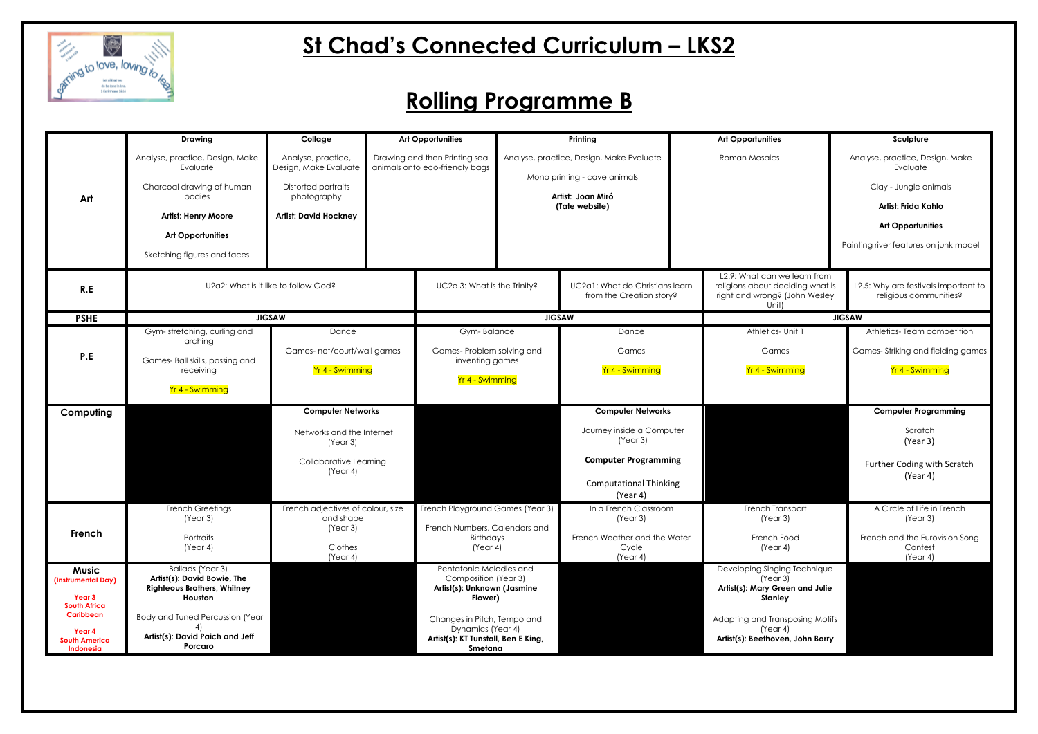

|                                                                     | <b>Drawing</b>                                                                                                                                                              | Collage                                                                                                                  | <b>Art Opportunities</b><br>Drawing and then Printing sea<br>animals onto eco-friendly bags |                                                                                                    | Printing<br>Analyse, practice, Design, Make Evaluate<br>Mono printing - cave animals<br>Artist: Joan Miró<br>(Tate website) |                                                             |               | <b>Art Opportunities</b>                                                                                   | Sculpture                                                                                                                                                        |
|---------------------------------------------------------------------|-----------------------------------------------------------------------------------------------------------------------------------------------------------------------------|--------------------------------------------------------------------------------------------------------------------------|---------------------------------------------------------------------------------------------|----------------------------------------------------------------------------------------------------|-----------------------------------------------------------------------------------------------------------------------------|-------------------------------------------------------------|---------------|------------------------------------------------------------------------------------------------------------|------------------------------------------------------------------------------------------------------------------------------------------------------------------|
| Art                                                                 | Analyse, practice, Design, Make<br>Evaluate<br>Charcoal drawing of human<br>bodies<br><b>Artist: Henry Moore</b><br><b>Art Opportunities</b><br>Sketching figures and faces | Analyse, practice,<br>Design, Make Evaluate<br><b>Distorted portraits</b><br>photography<br><b>Artist: David Hockney</b> |                                                                                             |                                                                                                    |                                                                                                                             |                                                             | Roman Mosaics |                                                                                                            | Analyse, practice, Design, Make<br>Evaluate<br>Clay - Jungle animals<br>Artist: Frida Kahlo<br><b>Art Opportunities</b><br>Painting river features on junk model |
| R.E                                                                 |                                                                                                                                                                             | U2a2: What is it like to follow God?                                                                                     | UC2a.3: What is the Trinity?                                                                |                                                                                                    |                                                                                                                             | UC2a1: What do Christians learn<br>from the Creation story? |               | L2.9: What can we learn from<br>religions about deciding what is<br>right and wrong? (John Wesley<br>Unit) | L2.5: Why are festivals important to<br>religious communities?                                                                                                   |
| <b>PSHE</b>                                                         |                                                                                                                                                                             | <b>JIGSAW</b>                                                                                                            |                                                                                             | <b>JIGSAW</b>                                                                                      |                                                                                                                             |                                                             | <b>JIGSAW</b> |                                                                                                            |                                                                                                                                                                  |
|                                                                     | Gym-stretching, curling and<br>arching                                                                                                                                      | Dance<br>Games- net/court/wall games<br>Yr 4 - Swimming                                                                  |                                                                                             | Gym-Balance<br>Games- Problem solving and<br>inventing games<br>Yr 4 - Swimming                    |                                                                                                                             | Dance<br>Games                                              |               |                                                                                                            | Athletics-Team competition<br>Games-Striking and fielding games                                                                                                  |
| P.E                                                                 | Games- Ball skills, passing and<br>receiving                                                                                                                                |                                                                                                                          |                                                                                             |                                                                                                    |                                                                                                                             | Yr 4 - Swimming                                             |               | Yr 4 - Swimming                                                                                            | Yr 4 - Swimming                                                                                                                                                  |
|                                                                     | Yr 4 - Swimming                                                                                                                                                             |                                                                                                                          |                                                                                             |                                                                                                    |                                                                                                                             |                                                             |               |                                                                                                            |                                                                                                                                                                  |
| Computing                                                           |                                                                                                                                                                             | <b>Computer Networks</b>                                                                                                 |                                                                                             |                                                                                                    |                                                                                                                             | <b>Computer Networks</b>                                    |               |                                                                                                            | <b>Computer Programming</b>                                                                                                                                      |
|                                                                     |                                                                                                                                                                             | Networks and the Internet<br>(Year 3)                                                                                    |                                                                                             |                                                                                                    |                                                                                                                             | Journey inside a Computer<br>(Year 3)                       |               |                                                                                                            | Scratch<br>(Year 3)                                                                                                                                              |
|                                                                     |                                                                                                                                                                             | Collaborative Learning<br>(Year 4)                                                                                       |                                                                                             |                                                                                                    |                                                                                                                             | <b>Computer Programming</b>                                 |               |                                                                                                            | Further Coding with Scratch<br>(Year 4)                                                                                                                          |
|                                                                     |                                                                                                                                                                             |                                                                                                                          |                                                                                             |                                                                                                    |                                                                                                                             | <b>Computational Thinking</b><br>(Year 4)                   |               |                                                                                                            |                                                                                                                                                                  |
| French                                                              | French Greetings<br>(Year 3)                                                                                                                                                | French adjectives of colour, size<br>and shape<br>(Year 3)                                                               |                                                                                             | French Playground Games (Year 3)<br>French Numbers, Calendars and                                  |                                                                                                                             | In a French Classroom<br>(Year 3)                           |               | French Transport<br>(Year 3)                                                                               | A Circle of Life in French<br>(Year 3)                                                                                                                           |
|                                                                     | Portraits<br>(Year 4)                                                                                                                                                       | Clothes<br>(Year 4)                                                                                                      |                                                                                             | Birthdays<br>(Year 4)                                                                              |                                                                                                                             | French Weather and the Water<br>Cycle<br>(Year 4)           |               | French Food<br>(Year 4)                                                                                    | French and the Eurovision Song<br>Contest<br>(Year 4)                                                                                                            |
| <b>Music</b><br>(Instrumental Day)<br>Year 3<br><b>South Africa</b> | <b>Ballads</b> (Year 3)<br>Artist(s): David Bowie, The<br><b>Righteous Brothers, Whitney</b><br>Houston                                                                     |                                                                                                                          |                                                                                             | Pentatonic Melodies and<br>Composition (Year 3)<br>Artist(s): Unknown (Jasmine<br>Flower)          |                                                                                                                             |                                                             |               | Developing Singing Technique<br>(Year 3)<br>Artist(s): Mary Green and Julie<br><b>Stanley</b>              |                                                                                                                                                                  |
| Caribbean<br>Year 4<br><b>South America</b><br>Indonesia            | Body and Tuned Percussion (Year<br>4)<br>Artist(s): David Paich and Jeff<br>Porcaro                                                                                         |                                                                                                                          |                                                                                             | Changes in Pitch, Tempo and<br>Dynamics (Year 4)<br>Artist(s): KT Tunstall, Ben E King,<br>Smetana |                                                                                                                             |                                                             |               | Adapting and Transposing Motifs<br>(Year 4)<br>Artist(s): Beethoven, John Barry                            |                                                                                                                                                                  |